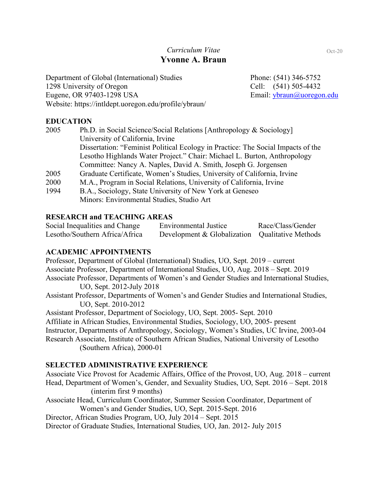# *Curriculum Vitae* **Yvonne A. Braun**

Department of Global (International) Studies Phone: (541) 346-5752 1298 University of Oregon Cell: (541) 505-4432 Eugene, OR 97403-1298 USA Email: ybraun@uoregon.edu Website: https://intldept.uoregon.edu/profile/ybraun/

# **EDUCATION**

| 2005 | Ph.D. in Social Science/Social Relations [Anthropology & Sociology]              |
|------|----------------------------------------------------------------------------------|
|      | University of California, Irvine                                                 |
|      | Dissertation: "Feminist Political Ecology in Practice: The Social Impacts of the |
|      | Lesotho Highlands Water Project." Chair: Michael L. Burton, Anthropology         |
|      | Committee: Nancy A. Naples, David A. Smith, Joseph G. Jorgensen                  |
| 2005 | Graduate Certificate, Women's Studies, University of California, Irvine          |
| 2000 | M.A., Program in Social Relations, University of California, Irvine              |
| 1994 | B.A., Sociology, State University of New York at Geneseo                         |

Minors: Environmental Studies, Studio Art

### **RESEARCH and TEACHING AREAS**

| Social Inequalities and Change | Environmental Justice                           | Race/Class/Gender |
|--------------------------------|-------------------------------------------------|-------------------|
| Lesotho/Southern Africa/Africa | Development & Globalization Qualitative Methods |                   |

# **ACADEMIC APPOINTMENTS**

Professor, Department of Global (International) Studies, UO, Sept. 2019 – current Associate Professor, Department of International Studies, UO, Aug. 2018 – Sept. 2019 Associate Professor, Departments of Women's and Gender Studies and International Studies, UO, Sept. 2012-July 2018 Assistant Professor, Departments of Women's and Gender Studies and International Studies, UO, Sept. 2010-2012 Assistant Professor, Department of Sociology, UO, Sept. 2005- Sept. 2010 Affiliate in African Studies, Environmental Studies, Sociology, UO, 2005- present Instructor, Departments of Anthropology, Sociology, Women's Studies, UC Irvine, 2003-04 Research Associate, Institute of Southern African Studies, National University of Lesotho (Southern Africa), 2000-01

# **SELECTED ADMINISTRATIVE EXPERIENCE**

Associate Vice Provost for Academic Affairs, Office of the Provost, UO, Aug. 2018 – current Head, Department of Women's, Gender, and Sexuality Studies, UO, Sept. 2016 – Sept. 2018 (interim first 9 months)

Associate Head, Curriculum Coordinator, Summer Session Coordinator, Department of Women's and Gender Studies, UO, Sept. 2015-Sept. 2016

Director, African Studies Program, UO, July 2014 – Sept. 2015

Director of Graduate Studies, International Studies, UO, Jan. 2012- July 2015

Oct-20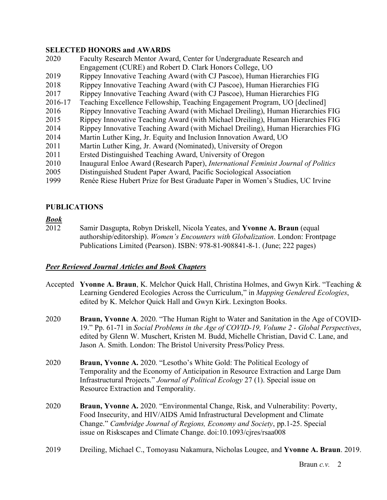## **SELECTED HONORS and AWARDS**

 Faculty Research Mentor Award, Center for Undergraduate Research and Engagement (CURE) and Robert D. Clark Honors College, UO Rippey Innovative Teaching Award (with CJ Pascoe), Human Hierarchies FIG Rippey Innovative Teaching Award (with CJ Pascoe), Human Hierarchies FIG Rippey Innovative Teaching Award (with CJ Pascoe), Human Hierarchies FIG 2016-17 Teaching Excellence Fellowship, Teaching Engagement Program, UO [declined] Rippey Innovative Teaching Award (with Michael Dreiling), Human Hierarchies FIG Rippey Innovative Teaching Award (with Michael Dreiling), Human Hierarchies FIG Rippey Innovative Teaching Award (with Michael Dreiling), Human Hierarchies FIG Martin Luther King, Jr. Equity and Inclusion Innovation Award, UO Martin Luther King, Jr. Award (Nominated), University of Oregon Ersted Distinguished Teaching Award, University of Oregon Inaugural Enloe Award (Research Paper), *International Feminist Journal of Politics* Distinguished Student Paper Award, Pacific Sociological Association Renée Riese Hubert Prize for Best Graduate Paper in Women's Studies, UC Irvine

# **PUBLICATIONS**

### *Book*

2012 Samir Dasgupta, Robyn Driskell, Nicola Yeates, and **Yvonne A. Braun** (equal authorship/editorship). *Women's Encounters with Globalization*. London: Frontpage Publications Limited (Pearson). ISBN: 978-81-908841-8-1. (June; 222 pages)

### *Peer Reviewed Journal Articles and Book Chapters*

- Accepted **Yvonne A. Braun**, K. Melchor Quick Hall, Christina Holmes, and Gwyn Kirk. "Teaching & Learning Gendered Ecologies Across the Curriculum," in *Mapping Gendered Ecologies*, edited by K. Melchor Quick Hall and Gwyn Kirk. Lexington Books.
- 2020 **Braun, Yvonne A**. 2020. "The Human Right to Water and Sanitation in the Age of COVID-19." Pp. 61-71 in *Social Problems in the Age of COVID-19, Volume 2 - Global Perspectives*, edited by Glenn W. Muschert, Kristen M. Budd, Michelle Christian, David C. Lane, and Jason A. Smith. London: The Bristol University Press/Policy Press.
- 2020 **Braun, Yvonne A.** 2020. "Lesotho's White Gold: The Political Ecology of Temporality and the Economy of Anticipation in Resource Extraction and Large Dam Infrastructural Projects." *Journal of Political Ecology* 27 (1). Special issue on Resource Extraction and Temporality.
- 2020 **Braun, Yvonne A.** 2020. "Environmental Change, Risk, and Vulnerability: Poverty, Food Insecurity, and HIV/AIDS Amid Infrastructural Development and Climate Change." *Cambridge Journal of Regions, Economy and Society*, pp.1-25. Special issue on Riskscapes and Climate Change. doi:10.1093/cjres/rsaa008
- 2019 Dreiling, Michael C., Tomoyasu Nakamura, Nicholas Lougee, and **Yvonne A. Braun**. 2019.

Braun *c.v.* 2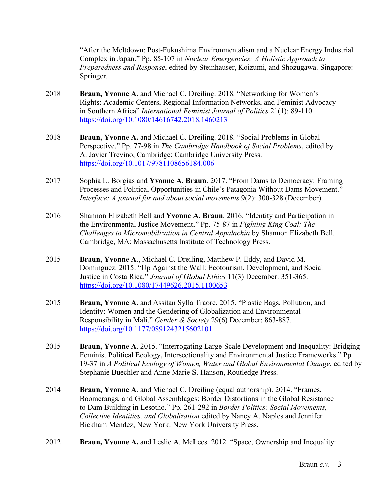"After the Meltdown: Post-Fukushima Environmentalism and a Nuclear Energy Industrial Complex in Japan." Pp. 85-107 in *Nuclear Emergencies: A Holistic Approach to Preparedness and Response*, edited by Steinhauser, Koizumi, and Shozugawa. Singapore: Springer.

- 2018 **Braun, Yvonne A.** and Michael C. Dreiling. 2018. "Networking for Women's Rights: Academic Centers, Regional Information Networks, and Feminist Advocacy in Southern Africa" *International Feminist Journal of Politics* 21(1): 89-110. https://doi.org/10.1080/14616742.2018.1460213
- 2018 **Braun, Yvonne A.** and Michael C. Dreiling. 2018. "Social Problems in Global Perspective." Pp. 77-98 in *The Cambridge Handbook of Social Problems*, edited by A. Javier Trevino, Cambridge: Cambridge University Press. https://doi.org/10.1017/9781108656184.006
- 2017 Sophia L. Borgias and **Yvonne A. Braun**. 2017. "From Dams to Democracy: Framing Processes and Political Opportunities in Chile's Patagonia Without Dams Movement." *Interface: A journal for and about social movements* 9(2): 300-328 (December).
- 2016 Shannon Elizabeth Bell and **Yvonne A. Braun**. 2016. "Identity and Participation in the Environmental Justice Movement." Pp. 75-87 in *Fighting King Coal: The Challenges to Micromobilization in Central Appalachia* by Shannon Elizabeth Bell. Cambridge, MA: Massachusetts Institute of Technology Press.
- 2015 **Braun, Yvonne A**., Michael C. Dreiling, Matthew P. Eddy, and David M. Dominguez. 2015. "Up Against the Wall: Ecotourism, Development, and Social Justice in Costa Rica." *Journal of Global Ethics* 11(3) December: 351-365. https://doi.org/10.1080/17449626.2015.1100653
- 2015 **Braun, Yvonne A.** and Assitan Sylla Traore. 2015. "Plastic Bags, Pollution, and Identity: Women and the Gendering of Globalization and Environmental Responsibility in Mali." *Gender & Society* 29(6) December: 863-887*.* https://doi.org/10.1177/0891243215602101
- 2015 **Braun, Yvonne A**. 2015. "Interrogating Large-Scale Development and Inequality: Bridging Feminist Political Ecology, Intersectionality and Environmental Justice Frameworks." Pp. 19-37 in *A Political Ecology of Women, Water and Global Environmental Change*, edited by Stephanie Buechler and Anne Marie S. Hanson, Routledge Press.
- 2014 **Braun, Yvonne A**. and Michael C. Dreiling (equal authorship). 2014. "Frames, Boomerangs, and Global Assemblages: Border Distortions in the Global Resistance to Dam Building in Lesotho." Pp. 261-292 in *Border Politics: Social Movements, Collective Identities, and Globalization* edited by Nancy A. Naples and Jennifer Bickham Mendez, New York: New York University Press.
- 2012 **Braun, Yvonne A.** and Leslie A. McLees. 2012. "Space, Ownership and Inequality: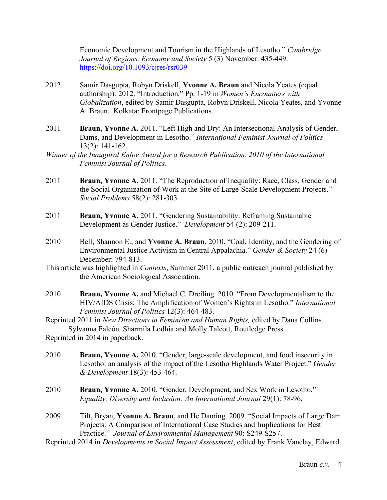Economic Development and Tourism in the Highlands of Lesotho." *Cambridge Journal of Regions, Economy and Society* 5 (3) November: 435-449. https://doi.org/10.1093/cjres/rsr039

- 2012 Samir Dasgupta, Robyn Driskell, **Yvonne A. Braun** and Nicola Yeates (equal authorship). 2012. "Introduction." Pp. 1-19 in *Women's Encounters with Globalization*, edited by Samir Dasgupta, Robyn Driskell, Nicola Yeates, and Yvonne A. Braun. Kolkata: Frontpage Publications.
- 2011 **Braun, Yvonne A.** 2011. "Left High and Dry: An Intersectional Analysis of Gender, Dams, and Development in Lesotho." *International Feminist Journal of Politics* 13(2): 141-162.
- *Winner of the Inaugural Enloe Award for a Research Publication, 2010 of the International Feminist Journal of Politics.*
- 2011 **Braun, Yvonne A**. 2011. "The Reproduction of Inequality: Race, Class, Gender and the Social Organization of Work at the Site of Large-Scale Development Projects." *Social Problems* 58(2): 281-303.
- 2011 **Braun, Yvonne A**. 2011. "Gendering Sustainability: Reframing Sustainable Development as Gender Justice." *Development* 54 (2): 209-211.
- 2010 Bell, Shannon E., and **Yvonne A. Braun.** 2010. "Coal, Identity, and the Gendering of Environmental Justice Activism in Central Appalachia." *Gender & Society* 24 (6) December: 794-813.
- This article was highlighted in *Contexts*, Summer 2011, a public outreach journal published by the American Sociological Association.
- 2010 **Braun, Yvonne A.** and Michael C. Dreiling. 2010. "From Developmentalism to the HIV/AIDS Crisis: The Amplification of Women's Rights in Lesotho." *International Feminist Journal of Politics* 12(3): 464-483.
- Reprinted 2011 in *New Directions in Feminism and Human Rights,* edited by Dana Collins*,* Sylvanna Falcón*,* Sharmila Lodhia and Molly Talcott, Routledge Press.

Reprinted in 2014 in paperback.

- 2010 **Braun, Yvonne A.** 2010. "Gender, large-scale development, and food insecurity in Lesotho: an analysis of the impact of the Lesotho Highlands Water Project." *Gender & Development* 18(3): 453-464.
- 2010 **Braun, Yvonne A.** 2010. "Gender, Development, and Sex Work in Lesotho." *Equality, Diversity and Inclusion: An International Journal* 29(1): 78-96.
- 2009 Tilt, Bryan, **Yvonne A. Braun**, and He Daming. 2009. "Social Impacts of Large Dam Projects: A Comparison of International Case Studies and Implications for Best Practice." *Journal of Environmental Management* 90: S249-S257.
- Reprinted 2014 in *Developments in Social Impact Assessment*, edited by Frank Vanclay, Edward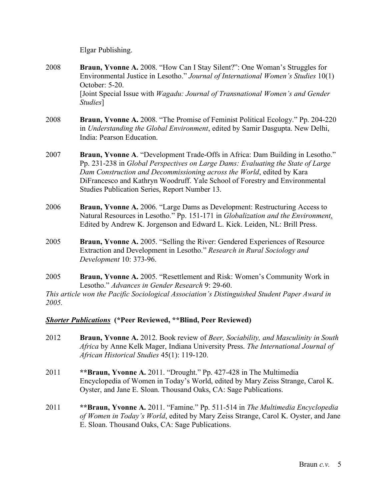Elgar Publishing.

- 2008 **Braun, Yvonne A.** 2008. "How Can I Stay Silent?": One Woman's Struggles for Environmental Justice in Lesotho." *Journal of International Women's Studies* 10(1) October: 5-20. [Joint Special Issue with *Wagadu: Journal of Transnational Women's and Gender Studies*]
- 2008 **Braun, Yvonne A.** 2008. "The Promise of Feminist Political Ecology." Pp. 204-220 in *Understanding the Global Environment*, edited by Samir Dasgupta. New Delhi, India: Pearson Education.
- 2007 **Braun, Yvonne A**. "Development Trade-Offs in Africa: Dam Building in Lesotho." Pp. 231-238 in *Global Perspectives on Large Dams: Evaluating the State of Large Dam Construction and Decommissioning across the World*, edited by Kara DiFrancesco and Kathryn Woodruff. Yale School of Forestry and Environmental Studies Publication Series, Report Number 13.
- 2006 **Braun, Yvonne A.** 2006. "Large Dams as Development: Restructuring Access to Natural Resources in Lesotho." Pp. 151-171 in *Globalization and the Environment*. Edited by Andrew K. Jorgenson and Edward L. Kick. Leiden, NL: Brill Press.
- 2005 **Braun, Yvonne A.** 2005. "Selling the River: Gendered Experiences of Resource Extraction and Development in Lesotho." *Research in Rural Sociology and Development* 10: 373-96.
- 2005 **Braun, Yvonne A.** 2005. "Resettlement and Risk: Women's Community Work in Lesotho." *Advances in Gender Research* 9: 29-60.

*This article won the Pacific Sociological Association's Distinguished Student Paper Award in 2005.*

# *Shorter Publications* **(\*Peer Reviewed, \*\*Blind, Peer Reviewed)**

- 2012 **Braun, Yvonne A.** 2012. Book review of *Beer, Sociability, and Masculinity in South Africa* by Anne Kelk Mager, Indiana University Press. *The International Journal of African Historical Studies* 45(1): 119-120.
- 2011 **\*\*Braun, Yvonne A.** 2011. "Drought." Pp. 427-428 in The Multimedia Encyclopedia of Women in Today's World, edited by Mary Zeiss Strange, Carol K. Oyster, and Jane E. Sloan. Thousand Oaks, CA: Sage Publications.
- 2011 **\*\*Braun, Yvonne A.** 2011. "Famine." Pp. 511-514 in *The Multimedia Encyclopedia of Women in Today's World*, edited by Mary Zeiss Strange, Carol K. Oyster, and Jane E. Sloan. Thousand Oaks, CA: Sage Publications.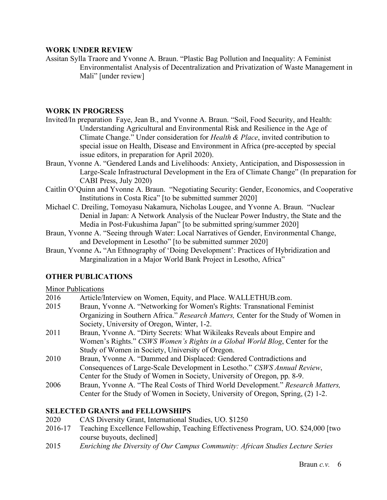## **WORK UNDER REVIEW**

Assitan Sylla Traore and Yvonne A. Braun. "Plastic Bag Pollution and Inequality: A Feminist Environmentalist Analysis of Decentralization and Privatization of Waste Management in Mali" [under review]

### **WORK IN PROGRESS**

- Invited/In preparation Faye, Jean B., and Yvonne A. Braun. "Soil, Food Security, and Health: Understanding Agricultural and Environmental Risk and Resilience in the Age of Climate Change." Under consideration for *Health & Place*, invited contribution to special issue on Health, Disease and Environment in Africa (pre-accepted by special issue editors, in preparation for April 2020).
- Braun, Yvonne A. "Gendered Lands and Livelihoods: Anxiety, Anticipation, and Dispossession in Large-Scale Infrastructural Development in the Era of Climate Change" (In preparation for CABI Press, July 2020)
- Caitlin O'Quinn and Yvonne A. Braun. "Negotiating Security: Gender, Economics, and Cooperative Institutions in Costa Rica" [to be submitted summer 2020]
- Michael C. Dreiling, Tomoyasu Nakamura, Nicholas Lougee, and Yvonne A. Braun. "Nuclear Denial in Japan: A Network Analysis of the Nuclear Power Industry, the State and the Media in Post-Fukushima Japan" [to be submitted spring/summer 2020]
- Braun, Yvonne A. "Seeing through Water: Local Narratives of Gender, Environmental Change, and Development in Lesotho" [to be submitted summer 2020]
- Braun, Yvonne A**.** "An Ethnography of 'Doing Development': Practices of Hybridization and Marginalization in a Major World Bank Project in Lesotho, Africa"

# **OTHER PUBLICATIONS**

### Minor Publications

- 2016 Article/Interview on Women, Equity, and Place. WALLETHUB.com.
- 2015 Braun, Yvonne A. "Networking for Women's Rights: Transnational Feminist Organizing in Southern Africa." *Research Matters,* Center for the Study of Women in Society, University of Oregon, Winter, 1-2.
- 2011 Braun, Yvonne A. "Dirty Secrets: What Wikileaks Reveals about Empire and Women's Rights." *CSWS Women's Rights in a Global World Blog*, Center for the Study of Women in Society, University of Oregon.
- 2010 Braun, Yvonne A. "Dammed and Displaced: Gendered Contradictions and Consequences of Large-Scale Development in Lesotho." *CSWS Annual Review*, Center for the Study of Women in Society, University of Oregon, pp. 8-9.
- 2006 Braun, Yvonne A. "The Real Costs of Third World Development." *Research Matters,* Center for the Study of Women in Society, University of Oregon, Spring, (2) 1-2.

# **SELECTED GRANTS and FELLOWSHIPS**

- 2020 CAS Diversity Grant, International Studies, UO. \$1250
- 2016-17 Teaching Excellence Fellowship, Teaching Effectiveness Program, UO. \$24,000 [two course buyouts, declined]
- 2015 *Enriching the Diversity of Our Campus Community: African Studies Lecture Series*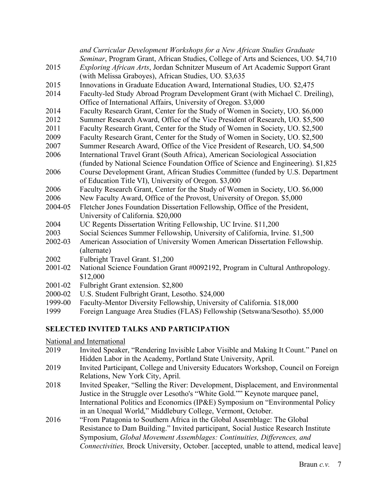|             | and Curricular Development Workshops for a New African Studies Graduate                                                                          |
|-------------|--------------------------------------------------------------------------------------------------------------------------------------------------|
|             | Seminar, Program Grant, African Studies, College of Arts and Sciences, UO. \$4,710                                                               |
| 2015        | Exploring African Arts, Jordan Schnitzer Museum of Art Academic Support Grant                                                                    |
|             | (with Melissa Graboyes), African Studies, UO. \$3,635                                                                                            |
| 2015        | Innovations in Graduate Education Award, International Studies, UO. \$2,475                                                                      |
| 2014        | Faculty-led Study Abroad Program Development Grant (with Michael C. Dreiling),<br>Office of International Affairs, University of Oregon. \$3,000 |
| 2014        | Faculty Research Grant, Center for the Study of Women in Society, UO. \$6,000                                                                    |
| 2012        | Summer Research Award, Office of the Vice President of Research, UO. \$5,500                                                                     |
| 2011        | Faculty Research Grant, Center for the Study of Women in Society, UO. \$2,500                                                                    |
| 2009        | Faculty Research Grant, Center for the Study of Women in Society, UO. \$2,500                                                                    |
| 2007        | Summer Research Award, Office of the Vice President of Research, UO. \$4,500                                                                     |
| 2006        | International Travel Grant (South Africa), American Sociological Association                                                                     |
|             | (funded by National Science Foundation Office of Science and Engineering). \$1,825                                                               |
| 2006        | Course Development Grant, African Studies Committee (funded by U.S. Department                                                                   |
|             | of Education Title VI), University of Oregon. \$3,000                                                                                            |
| 2006        | Faculty Research Grant, Center for the Study of Women in Society, UO. \$6,000                                                                    |
| 2006        | New Faculty Award, Office of the Provost, University of Oregon. \$5,000                                                                          |
| 2004-05     | Fletcher Jones Foundation Dissertation Fellowship, Office of the President,                                                                      |
|             | University of California. \$20,000                                                                                                               |
| 2004        | UC Regents Dissertation Writing Fellowship, UC Irvine. \$11,200                                                                                  |
| 2003        | Social Sciences Summer Fellowship, University of California, Irvine. \$1,500                                                                     |
| 2002-03     | American Association of University Women American Dissertation Fellowship.                                                                       |
|             | (alternate)                                                                                                                                      |
| 2002        | Fulbright Travel Grant. \$1,200                                                                                                                  |
| 2001-02     | National Science Foundation Grant #0092192, Program in Cultural Anthropology.                                                                    |
|             | \$12,000                                                                                                                                         |
| 2001-02     | Fulbright Grant extension. \$2,800                                                                                                               |
| 2000-02     | U.S. Student Fulbright Grant, Lesotho. \$24,000                                                                                                  |
| 1999-00     | Faculty-Mentor Diversity Fellowship, University of California. \$18,000                                                                          |
| <b>1000</b> | Estaina Languago Argo Studios (ELAS) Esllowskin (Satawano/Sasatho) $$5.000$                                                                      |

# 1999 Foreign Language Area Studies (FLAS) Fellowship (Setswana/Sesotho). \$5,000

### **SELECTED INVITED TALKS AND PARTICIPATION**

National and International

- 2019 Invited Speaker, "Rendering Invisible Labor Visible and Making It Count." Panel on Hidden Labor in the Academy, Portland State University, April.
- 2019 Invited Participant, College and University Educators Workshop, Council on Foreign Relations, New York City, April.
- 2018 Invited Speaker, "Selling the River: Development, Displacement, and Environmental Justice in the Struggle over Lesotho's "White Gold."" Keynote marquee panel, International Politics and Economics (IP&E) Symposium on "Environmental Policy in an Unequal World," Middlebury College, Vermont, October.
- 2016 "From Patagonia to Southern Africa in the Global Assemblage: The Global Resistance to Dam Building." Invited participant, Social Justice Research Institute Symposium, *Global Movement Assemblages: Continuities, Differences, and Connectivities,* Brock University, October. [accepted, unable to attend, medical leave]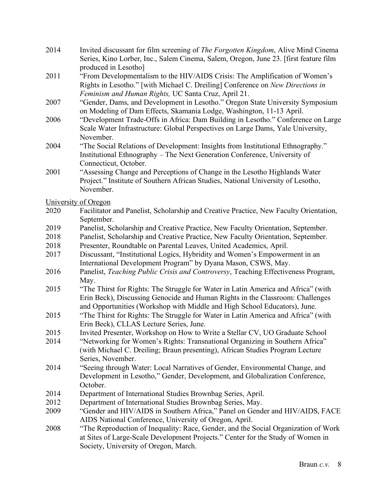- 2014 Invited discussant for film screening of *The Forgotten Kingdom*, Alive Mind Cinema Series, Kino Lorber, Inc., Salem Cinema, Salem, Oregon, June 23. [first feature film produced in Lesotho]
- 2011 "From Developmentalism to the HIV/AIDS Crisis: The Amplification of Women's Rights in Lesotho." [with Michael C. Dreiling] Conference on *New Directions in Feminism and Human Rights,* UC Santa Cruz, April 21.
- 2007 "Gender, Dams, and Development in Lesotho." Oregon State University Symposium on Modeling of Dam Effects, Skamania Lodge, Washington, 11-13 April.
- 2006 "Development Trade-Offs in Africa: Dam Building in Lesotho." Conference on Large Scale Water Infrastructure: Global Perspectives on Large Dams, Yale University, November.
- 2004 "The Social Relations of Development: Insights from Institutional Ethnography." Institutional Ethnography – The Next Generation Conference, University of Connecticut, October.
- 2001 "Assessing Change and Perceptions of Change in the Lesotho Highlands Water Project." Institute of Southern African Studies, National University of Lesotho, November.

University of Oregon

- 2020 Facilitator and Panelist, Scholarship and Creative Practice, New Faculty Orientation, September.
- 2019 Panelist, Scholarship and Creative Practice, New Faculty Orientation, September.
- 2018 Panelist, Scholarship and Creative Practice, New Faculty Orientation, September.
- 2018 Presenter, Roundtable on Parental Leaves, United Academics, April.
- 2017 Discussant, "Institutional Logics, Hybridity and Women's Empowerment in an International Development Program" by Dyana Mason, CSWS, May.
- 2016 Panelist, *Teaching Public Crisis and Controversy*, Teaching Effectiveness Program, May.
- 2015 "The Thirst for Rights: The Struggle for Water in Latin America and Africa" (with Erin Beck), Discussing Genocide and Human Rights in the Classroom: Challenges and Opportunities (Workshop with Middle and High School Educators), June.
- 2015 "The Thirst for Rights: The Struggle for Water in Latin America and Africa" (with Erin Beck), CLLAS Lecture Series, June.
- 2015 Invited Presenter, Workshop on How to Write a Stellar CV, UO Graduate School
- 2014 "Networking for Women's Rights: Transnational Organizing in Southern Africa" (with Michael C. Dreiling; Braun presenting), African Studies Program Lecture Series, November.
- 2014 "Seeing through Water: Local Narratives of Gender, Environmental Change, and Development in Lesotho," Gender, Development, and Globalization Conference, October.
- 2014 Department of International Studies Brownbag Series, April.
- 2012 Department of International Studies Brownbag Series, May.
- 2009 "Gender and HIV/AIDS in Southern Africa," Panel on Gender and HIV/AIDS, FACE AIDS National Conference, University of Oregon, April.
- 2008 "The Reproduction of Inequality: Race, Gender, and the Social Organization of Work at Sites of Large-Scale Development Projects." Center for the Study of Women in Society, University of Oregon, March.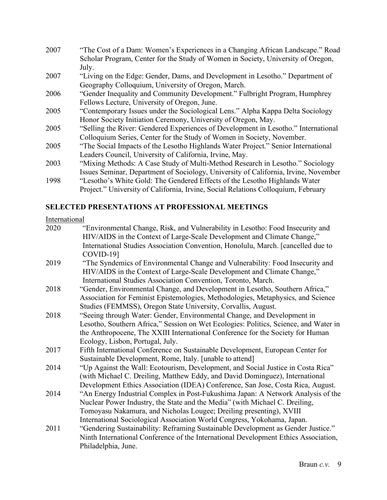| 2007 | "The Cost of a Dam: Women's Experiences in a Changing African Landscape." Road      |
|------|-------------------------------------------------------------------------------------|
|      | Scholar Program, Center for the Study of Women in Society, University of Oregon,    |
|      | July.                                                                               |
| 2007 | "Living on the Edge: Gender, Dams, and Development in Lesotho." Department of       |
|      | Geography Colloquium, University of Oregon, March.                                  |
| 2006 | "Gender Inequality and Community Development." Fulbright Program, Humphrey          |
|      | Fellows Lecture, University of Oregon, June.                                        |
| 2005 | "Contemporary Issues under the Sociological Lens." Alpha Kappa Delta Sociology      |
|      | Honor Society Initiation Ceremony, University of Oregon, May.                       |
| 2005 | "Selling the River: Gendered Experiences of Development in Lesotho." International  |
|      | Colloquium Series, Center for the Study of Women in Society, November.              |
| 2005 | "The Social Impacts of the Lesotho Highlands Water Project." Senior International   |
|      | Leaders Council, University of California, Irvine, May.                             |
| 2003 | "Mixing Methods: A Case Study of Multi-Method Research in Lesotho." Sociology       |
|      | Issues Seminar, Department of Sociology, University of California, Irvine, November |
| 1998 | "Lesotho's White Gold: The Gendered Effects of the Lesotho Highlands Water          |

# Project." University of California, Irvine, Social Relations Colloquium, February

# **SELECTED PRESENTATIONS AT PROFESSIONAL MEETINGS**

# International

| 2020 | "Environmental Change, Risk, and Vulnerability in Lesotho: Food Insecurity and       |
|------|--------------------------------------------------------------------------------------|
|      | HIV/AIDS in the Context of Large-Scale Development and Climate Change,"              |
|      | International Studies Association Convention, Honolulu, March. [cancelled due to     |
|      | $COVID-19$ ]                                                                         |
| 2019 | "The Syndemics of Environmental Change and Vulnerability: Food Insecurity and        |
|      | HIV/AIDS in the Context of Large-Scale Development and Climate Change,"              |
|      | International Studies Association Convention, Toronto, March.                        |
| 2018 | "Gender, Environmental Change, and Development in Lesotho, Southern Africa,"         |
|      | Association for Feminist Epistemologies, Methodologies, Metaphysics, and Science     |
|      | Studies (FEMMSS), Oregon State University, Corvallis, August.                        |
| 2018 | "Seeing through Water: Gender, Environmental Change, and Development in              |
|      | Lesotho, Southern Africa," Session on Wet Ecologies: Politics, Science, and Water in |
|      | the Anthropocene, The XXIII International Conference for the Society for Human       |
|      | Ecology, Lisbon, Portugal, July.                                                     |
| 2017 | Fifth International Conference on Sustainable Development, European Center for       |
|      | Sustainable Development, Rome, Italy. [unable to attend]                             |
| 2014 | "Up Against the Wall: Ecotourism, Development, and Social Justice in Costa Rica"     |
|      | (with Michael C. Dreiling, Matthew Eddy, and David Dominguez), International         |
|      | Development Ethics Association (IDEA) Conference, San Jose, Costa Rica, August.      |
| 2014 | "An Energy Industrial Complex in Post-Fukushima Japan: A Network Analysis of the     |
|      | Nuclear Power Industry, the State and the Media" (with Michael C. Dreiling,          |
|      | Tomoyasu Nakamura, and Nicholas Lougee; Dreiling presenting), XVIII                  |
|      | International Sociological Association World Congress, Yokohama, Japan.              |
| 2011 | "Gendering Sustainability: Reframing Sustainable Development as Gender Justice."     |
|      | Ninth International Conference of the International Development Ethics Association,  |
|      | Philadelphia, June.                                                                  |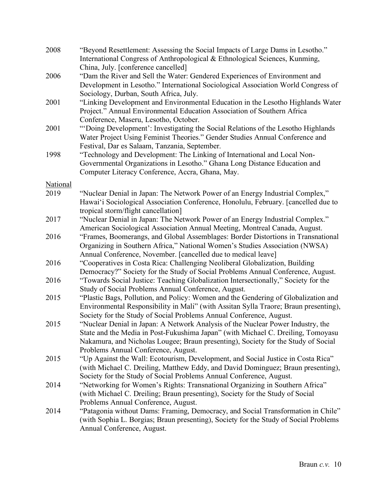| 2008            | "Beyond Resettlement: Assessing the Social Impacts of Large Dams in Lesotho."<br>International Congress of Anthropological & Ethnological Sciences, Kunming,<br>China, July. [conference cancelled]                                                                                             |
|-----------------|-------------------------------------------------------------------------------------------------------------------------------------------------------------------------------------------------------------------------------------------------------------------------------------------------|
| 2006            | "Dam the River and Sell the Water: Gendered Experiences of Environment and<br>Development in Lesotho." International Sociological Association World Congress of<br>Sociology, Durban, South Africa, July.                                                                                       |
| 2001            | "Linking Development and Environmental Education in the Lesotho Highlands Water<br>Project." Annual Environmental Education Association of Southern Africa<br>Conference, Maseru, Lesotho, October.                                                                                             |
| 2001            | "Doing Development': Investigating the Social Relations of the Lesotho Highlands<br>Water Project Using Feminist Theories." Gender Studies Annual Conference and<br>Festival, Dar es Salaam, Tanzania, September.                                                                               |
| 1998            | "Technology and Development: The Linking of International and Local Non-<br>Governmental Organizations in Lesotho." Ghana Long Distance Education and<br>Computer Literacy Conference, Accra, Ghana, May.                                                                                       |
| <b>National</b> |                                                                                                                                                                                                                                                                                                 |
| 2019            | "Nuclear Denial in Japan: The Network Power of an Energy Industrial Complex,"<br>Hawai'i Sociological Association Conference, Honolulu, February. [cancelled due to<br>tropical storm/flight cancellation]                                                                                      |
| 2017            | "Nuclear Denial in Japan: The Network Power of an Energy Industrial Complex."<br>American Sociological Association Annual Meeting, Montreal Canada, August.                                                                                                                                     |
| 2016            | "Frames, Boomerangs, and Global Assemblages: Border Distortions in Transnational<br>Organizing in Southern Africa," National Women's Studies Association (NWSA)<br>Annual Conference, November. [cancelled due to medical leave]                                                                |
| 2016            | "Cooperatives in Costa Rica: Challenging Neoliberal Globalization, Building<br>Democracy?" Society for the Study of Social Problems Annual Conference, August.                                                                                                                                  |
| 2016            | "Towards Social Justice: Teaching Globalization Intersectionally," Society for the<br>Study of Social Problems Annual Conference, August.                                                                                                                                                       |
| 2015            | "Plastic Bags, Pollution, and Policy: Women and the Gendering of Globalization and<br>Environmental Responsibility in Mali" (with Assitan Sylla Traore; Braun presenting),<br>Society for the Study of Social Problems Annual Conference, August.                                               |
| 2015            | "Nuclear Denial in Japan: A Network Analysis of the Nuclear Power Industry, the<br>State and the Media in Post-Fukushima Japan" (with Michael C. Dreiling, Tomoyasu<br>Nakamura, and Nicholas Lougee; Braun presenting), Society for the Study of Social<br>Problems Annual Conference, August. |
| 2015            | "Up Against the Wall: Ecotourism, Development, and Social Justice in Costa Rica"<br>(with Michael C. Dreiling, Matthew Eddy, and David Dominguez; Braun presenting),<br>Society for the Study of Social Problems Annual Conference, August.                                                     |
| 2014            | "Networking for Women's Rights: Transnational Organizing in Southern Africa"<br>(with Michael C. Dreiling; Braun presenting), Society for the Study of Social<br>Problems Annual Conference, August.                                                                                            |
| 2014            | "Patagonia without Dams: Framing, Democracy, and Social Transformation in Chile"<br>(with Sophia L. Borgias; Braun presenting), Society for the Study of Social Problems<br>Annual Conference, August.                                                                                          |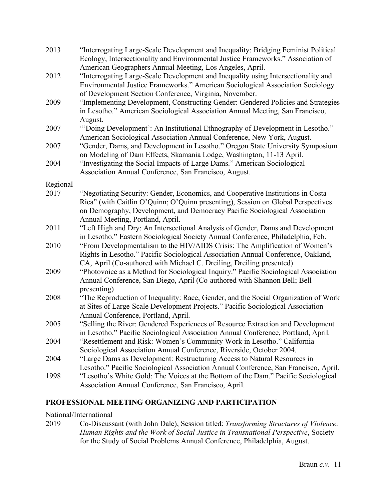| 2013     | "Interrogating Large-Scale Development and Inequality: Bridging Feminist Political<br>Ecology, Intersectionality and Environmental Justice Frameworks." Association of                                                                  |
|----------|-----------------------------------------------------------------------------------------------------------------------------------------------------------------------------------------------------------------------------------------|
|          | American Geographers Annual Meeting, Los Angeles, April.                                                                                                                                                                                |
| 2012     | "Interrogating Large-Scale Development and Inequality using Intersectionality and<br>Environmental Justice Frameworks." American Sociological Association Sociology<br>of Development Section Conference, Virginia, November.           |
| 2009     | "Implementing Development, Constructing Gender: Gendered Policies and Strategies<br>in Lesotho." American Sociological Association Annual Meeting, San Francisco,<br>August.                                                            |
| 2007     | "Doing Development': An Institutional Ethnography of Development in Lesotho."<br>American Sociological Association Annual Conference, New York, August.                                                                                 |
| 2007     | "Gender, Dams, and Development in Lesotho." Oregon State University Symposium<br>on Modeling of Dam Effects, Skamania Lodge, Washington, 11-13 April.                                                                                   |
| 2004     | "Investigating the Social Impacts of Large Dams." American Sociological<br>Association Annual Conference, San Francisco, August.                                                                                                        |
| Regional |                                                                                                                                                                                                                                         |
| 2017     | "Negotiating Security: Gender, Economics, and Cooperative Institutions in Costa<br>Rica" (with Caitlin O'Quinn; O'Quinn presenting), Session on Global Perspectives                                                                     |
|          | on Demography, Development, and Democracy Pacific Sociological Association<br>Annual Meeting, Portland, April.                                                                                                                          |
| 2011     | "Left High and Dry: An Intersectional Analysis of Gender, Dams and Development<br>in Lesotho." Eastern Sociological Society Annual Conference, Philadelphia, Feb.                                                                       |
| 2010     | "From Developmentalism to the HIV/AIDS Crisis: The Amplification of Women's<br>Rights in Lesotho." Pacific Sociological Association Annual Conference, Oakland,<br>CA, April (Co-authored with Michael C. Dreiling, Dreiling presented) |
| 2009     | "Photovoice as a Method for Sociological Inquiry." Pacific Sociological Association<br>Annual Conference, San Diego, April (Co-authored with Shannon Bell; Bell<br>presenting)                                                          |
| 2008     | "The Reproduction of Inequality: Race, Gender, and the Social Organization of Work<br>at Sites of Large-Scale Development Projects." Pacific Sociological Association<br>Annual Conference, Portland, April.                            |
| 2005     | "Selling the River: Gendered Experiences of Resource Extraction and Development<br>in Lesotho." Pacific Sociological Association Annual Conference, Portland, April.                                                                    |
| 2004     | "Resettlement and Risk: Women's Community Work in Lesotho." California<br>Sociological Association Annual Conference, Riverside, October 2004.                                                                                          |
| 2004     | "Large Dams as Development: Restructuring Access to Natural Resources in<br>Lesotho." Pacific Sociological Association Annual Conference, San Francisco, April.                                                                         |
| 1998     | "Lesotho's White Gold: The Voices at the Bottom of the Dam." Pacific Sociological<br>Association Annual Conference, San Francisco, April.                                                                                               |

# **PROFESSIONAL MEETING ORGANIZING AND PARTICIPATION**

## National/International

2019 Co-Discussant (with John Dale), Session titled: *Transforming Structures of Violence: Human Rights and the Work of Social Justice in Transnational Perspective*, Society for the Study of Social Problems Annual Conference, Philadelphia, August.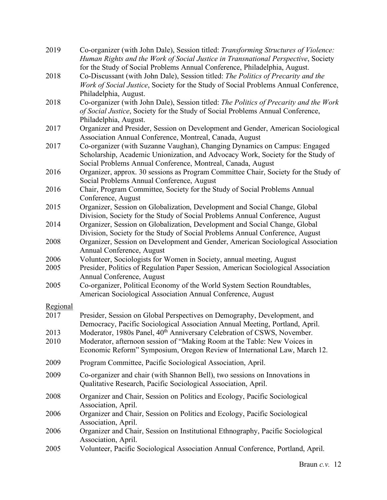| 2019     | Co-organizer (with John Dale), Session titled: Transforming Structures of Violence:<br>Human Rights and the Work of Social Justice in Transnational Perspective, Society |
|----------|--------------------------------------------------------------------------------------------------------------------------------------------------------------------------|
|          | for the Study of Social Problems Annual Conference, Philadelphia, August.                                                                                                |
| 2018     | Co-Discussant (with John Dale), Session titled: The Politics of Precarity and the                                                                                        |
|          | Work of Social Justice, Society for the Study of Social Problems Annual Conference,                                                                                      |
|          | Philadelphia, August.                                                                                                                                                    |
| 2018     | Co-organizer (with John Dale), Session titled: The Politics of Precarity and the Work                                                                                    |
|          | of Social Justice, Society for the Study of Social Problems Annual Conference,                                                                                           |
|          |                                                                                                                                                                          |
|          | Philadelphia, August.                                                                                                                                                    |
| 2017     | Organizer and Presider, Session on Development and Gender, American Sociological                                                                                         |
|          | Association Annual Conference, Montreal, Canada, August                                                                                                                  |
| 2017     | Co-organizer (with Suzanne Vaughan), Changing Dynamics on Campus: Engaged                                                                                                |
|          | Scholarship, Academic Unionization, and Advocacy Work, Society for the Study of                                                                                          |
|          | Social Problems Annual Conference, Montreal, Canada, August                                                                                                              |
| 2016     | Organizer, approx. 30 sessions as Program Committee Chair, Society for the Study of                                                                                      |
|          | Social Problems Annual Conference, August                                                                                                                                |
| 2016     | Chair, Program Committee, Society for the Study of Social Problems Annual                                                                                                |
|          | Conference, August                                                                                                                                                       |
| 2015     | Organizer, Session on Globalization, Development and Social Change, Global                                                                                               |
|          | Division, Society for the Study of Social Problems Annual Conference, August                                                                                             |
| 2014     | Organizer, Session on Globalization, Development and Social Change, Global                                                                                               |
|          | Division, Society for the Study of Social Problems Annual Conference, August                                                                                             |
| 2008     | Organizer, Session on Development and Gender, American Sociological Association                                                                                          |
|          | Annual Conference, August                                                                                                                                                |
| 2006     | Volunteer, Sociologists for Women in Society, annual meeting, August                                                                                                     |
| 2005     | Presider, Politics of Regulation Paper Session, American Sociological Association                                                                                        |
|          | Annual Conference, August                                                                                                                                                |
| 2005     | Co-organizer, Political Economy of the World System Section Roundtables,                                                                                                 |
|          | American Sociological Association Annual Conference, August                                                                                                              |
| Regional |                                                                                                                                                                          |
| 2017     | Presider, Session on Global Perspectives on Demography, Development, and                                                                                                 |
|          | Democracy, Pacific Sociological Association Annual Meeting, Portland, April.                                                                                             |
| 2013     | Moderator, 1980s Panel, 40 <sup>th</sup> Anniversary Celebration of CSWS, November.                                                                                      |
| 2010     | Moderator, afternoon session of "Making Room at the Table: New Voices in                                                                                                 |
|          | Economic Reform" Symposium, Oregon Review of International Law, March 12.                                                                                                |
|          |                                                                                                                                                                          |
| 2009     | Program Committee, Pacific Sociological Association, April.                                                                                                              |
| 2009     | Co-organizer and chair (with Shannon Bell), two sessions on Innovations in                                                                                               |
|          | Qualitative Research, Pacific Sociological Association, April.                                                                                                           |
| 2008     | Organizer and Chair, Session on Politics and Ecology, Pacific Sociological                                                                                               |
|          | Association, April.                                                                                                                                                      |
| 2006     | Organizer and Chair, Session on Politics and Ecology, Pacific Sociological                                                                                               |
|          | Association, April.                                                                                                                                                      |
| 2006     | Organizer and Chair, Session on Institutional Ethnography, Pacific Sociological                                                                                          |
|          | Association, April.                                                                                                                                                      |
| 2005     | Volunteer, Pacific Sociological Association Annual Conference, Portland, April.                                                                                          |
|          |                                                                                                                                                                          |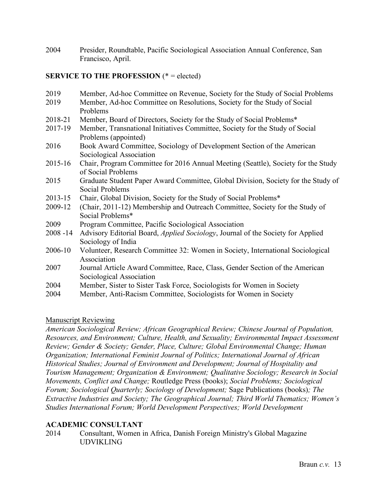2004 Presider, Roundtable, Pacific Sociological Association Annual Conference, San Francisco, April.

# **SERVICE TO THE PROFESSION** (\* = elected)

| 2019        | Member, Ad-hoc Committee on Revenue, Society for the Study of Social Problems           |
|-------------|-----------------------------------------------------------------------------------------|
| 2019        | Member, Ad-hoc Committee on Resolutions, Society for the Study of Social                |
|             | Problems                                                                                |
| 2018-21     | Member, Board of Directors, Society for the Study of Social Problems*                   |
| 2017-19     | Member, Transnational Initiatives Committee, Society for the Study of Social            |
|             | Problems (appointed)                                                                    |
| 2016        | Book Award Committee, Sociology of Development Section of the American                  |
|             | Sociological Association                                                                |
| 2015-16     | Chair, Program Committee for 2016 Annual Meeting (Seattle), Society for the Study       |
|             | of Social Problems                                                                      |
| 2015        | Graduate Student Paper Award Committee, Global Division, Society for the Study of       |
|             | Social Problems                                                                         |
| 2013-15     | Chair, Global Division, Society for the Study of Social Problems*                       |
| 2009-12     | (Chair, 2011-12) Membership and Outreach Committee, Society for the Study of            |
|             | Social Problems*                                                                        |
| 2009        | Program Committee, Pacific Sociological Association                                     |
| $2008 - 14$ | Advisory Editorial Board, <i>Applied Sociology</i> , Journal of the Society for Applied |
|             | Sociology of India                                                                      |
| 2006-10     | Volunteer, Research Committee 32: Women in Society, International Sociological          |
|             | Association                                                                             |
| 2007        | Journal Article Award Committee, Race, Class, Gender Section of the American            |
|             | Sociological Association                                                                |
| 2004        | Member, Sister to Sister Task Force, Sociologists for Women in Society                  |
| 2004        | Member, Anti-Racism Committee, Sociologists for Women in Society                        |

# Manuscript Reviewing

*American Sociological Review; African Geographical Review; Chinese Journal of Population, Resources, and Environment; Culture, Health, and Sexuality; Environmental Impact Assessment Review; Gender & Society; Gender, Place, Culture; Global Environmental Change; Human Organization; International Feminist Journal of Politics; International Journal of African Historical Studies; Journal of Environment and Development; Journal of Hospitality and Tourism Management; Organization & Environment; Qualitative Sociology; Research in Social Movements, Conflict and Change;* Routledge Press (books); *Social Problems; Sociological Forum; Sociological Quarterly; Sociology of Development;* Sage Publications (books)*; The Extractive Industries and Society; The Geographical Journal; Third World Thematics; Women's Studies International Forum; World Development Perspectives; World Development*

# **ACADEMIC CONSULTANT**

2014 Consultant, Women in Africa, Danish Foreign Ministry's Global Magazine UDVIKLING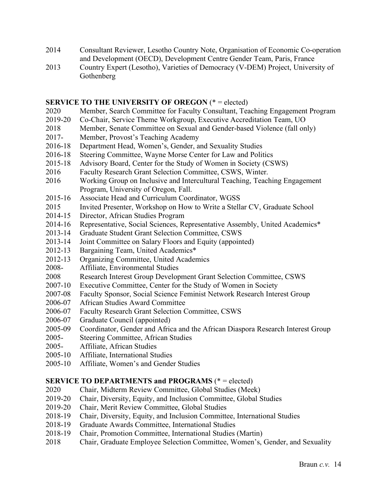- 2014 Consultant Reviewer, Lesotho Country Note, Organisation of Economic Co-operation and Development (OECD), Development Centre Gender Team, Paris, France
- 2013 Country Expert (Lesotho), Varieties of Democracy (V-DEM) Project, University of Gothenberg

### **SERVICE TO THE UNIVERSITY OF OREGON** (\* = elected)

- 2020 Member, Search Committee for Faculty Consultant, Teaching Engagement Program
- 2019-20 Co-Chair, Service Theme Workgroup, Executive Accreditation Team, UO
- 2018 Member, Senate Committee on Sexual and Gender-based Violence (fall only)
- 2017- Member, Provost's Teaching Academy
- 2016-18 Department Head, Women's, Gender, and Sexuality Studies
- 2016-18 Steering Committee, Wayne Morse Center for Law and Politics
- 2015-18 Advisory Board, Center for the Study of Women in Society (CSWS)
- 2016 Faculty Research Grant Selection Committee, CSWS, Winter.
- 2016 Working Group on Inclusive and Intercultural Teaching, Teaching Engagement Program, University of Oregon, Fall.
- 2015-16 Associate Head and Curriculum Coordinator, WGSS
- 2015 Invited Presenter, Workshop on How to Write a Stellar CV, Graduate School
- 2014-15 Director, African Studies Program
- 2014-16 Representative, Social Sciences, Representative Assembly, United Academics\*
- 2013-14 Graduate Student Grant Selection Committee, CSWS
- 2013-14 Joint Committee on Salary Floors and Equity (appointed)
- 2012-13 Bargaining Team, United Academics\*
- 2012-13 Organizing Committee, United Academics
- 2008- Affiliate, Environmental Studies
- 2008 Research Interest Group Development Grant Selection Committee, CSWS
- 2007-10 Executive Committee, Center for the Study of Women in Society
- 2007-08 Faculty Sponsor, Social Science Feminist Network Research Interest Group
- 2006-07 African Studies Award Committee
- 2006-07 Faculty Research Grant Selection Committee, CSWS
- 2006-07 Graduate Council (appointed)
- 2005-09 Coordinator, Gender and Africa and the African Diaspora Research Interest Group
- 2005- Steering Committee, African Studies
- 2005- Affiliate, African Studies
- 2005-10 Affiliate, International Studies
- 2005-10 Affiliate, Women's and Gender Studies

# **SERVICE TO DEPARTMENTS and PROGRAMS** (\* = elected)

- 2020 Chair, Midterm Review Committee, Global Studies (Meek)
- 2019-20 Chair, Diversity, Equity, and Inclusion Committee, Global Studies
- 2019-20 Chair, Merit Review Committee, Global Studies
- 2018-19 Chair, Diversity, Equity, and Inclusion Committee, International Studies
- 2018-19 Graduate Awards Committee, International Studies
- 2018-19 Chair, Promotion Committee, International Studies (Martin)
- 2018 Chair, Graduate Employee Selection Committee, Women's, Gender, and Sexuality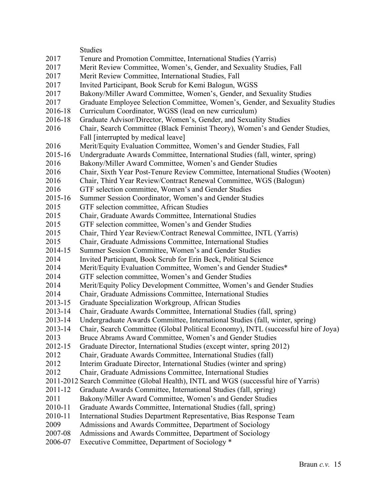|         | <b>Studies</b>                                                                       |
|---------|--------------------------------------------------------------------------------------|
| 2017    | Tenure and Promotion Committee, International Studies (Yarris)                       |
| 2017    | Merit Review Committee, Women's, Gender, and Sexuality Studies, Fall                 |
| 2017    | Merit Review Committee, International Studies, Fall                                  |
| 2017    | Invited Participant, Book Scrub for Kemi Balogun, WGSS                               |
| 2017    | Bakony/Miller Award Committee, Women's, Gender, and Sexuality Studies                |
| 2017    | Graduate Employee Selection Committee, Women's, Gender, and Sexuality Studies        |
| 2016-18 | Curriculum Coordinator, WGSS (lead on new curriculum)                                |
| 2016-18 | Graduate Advisor/Director, Women's, Gender, and Sexuality Studies                    |
| 2016    | Chair, Search Committee (Black Feminist Theory), Women's and Gender Studies,         |
|         | Fall [interrupted by medical leave]                                                  |
| 2016    | Merit/Equity Evaluation Committee, Women's and Gender Studies, Fall                  |
| 2015-16 | Undergraduate Awards Committee, International Studies (fall, winter, spring)         |
| 2016    | Bakony/Miller Award Committee, Women's and Gender Studies                            |
| 2016    | Chair, Sixth Year Post-Tenure Review Committee, International Studies (Wooten)       |
| 2016    | Chair, Third Year Review/Contract Renewal Committee, WGS (Balogun)                   |
| 2016    | GTF selection committee, Women's and Gender Studies                                  |
| 2015-16 | Summer Session Coordinator, Women's and Gender Studies                               |
| 2015    | GTF selection committee, African Studies                                             |
| 2015    | Chair, Graduate Awards Committee, International Studies                              |
| 2015    | GTF selection committee, Women's and Gender Studies                                  |
| 2015    | Chair, Third Year Review/Contract Renewal Committee, INTL (Yarris)                   |
| 2015    | Chair, Graduate Admissions Committee, International Studies                          |
| 2014-15 | Summer Session Committee, Women's and Gender Studies                                 |
| 2014    | Invited Participant, Book Scrub for Erin Beck, Political Science                     |
| 2014    | Merit/Equity Evaluation Committee, Women's and Gender Studies*                       |
| 2014    | GTF selection committee, Women's and Gender Studies                                  |
| 2014    | Merit/Equity Policy Development Committee, Women's and Gender Studies                |
| 2014    | Chair, Graduate Admissions Committee, International Studies                          |
| 2013-15 | Graduate Specialization Workgroup, African Studies                                   |
| 2013-14 | Chair, Graduate Awards Committee, International Studies (fall, spring)               |
| 2013-14 | Undergraduate Awards Committee, International Studies (fall, winter, spring)         |
| 2013-14 | Chair, Search Committee (Global Political Economy), INTL (successful hire of Joya)   |
| 2013    | Bruce Abrams Award Committee, Women's and Gender Studies                             |
| 2012-15 | Graduate Director, International Studies (except winter, spring 2012)                |
| 2012    | Chair, Graduate Awards Committee, International Studies (fall)                       |
| 2012    | Interim Graduate Director, International Studies (winter and spring)                 |
| 2012    | Chair, Graduate Admissions Committee, International Studies                          |
|         | 2011-2012 Search Committee (Global Health), INTL and WGS (successful hire of Yarris) |
| 2011-12 | Graduate Awards Committee, International Studies (fall, spring)                      |
| 2011    | Bakony/Miller Award Committee, Women's and Gender Studies                            |
| 2010-11 | Graduate Awards Committee, International Studies (fall, spring)                      |
| 2010-11 | International Studies Department Representative, Bias Response Team                  |
| 2009    | Admissions and Awards Committee, Department of Sociology                             |
| 2007-08 | Admissions and Awards Committee, Department of Sociology                             |
| 2006-07 | Executive Committee, Department of Sociology *                                       |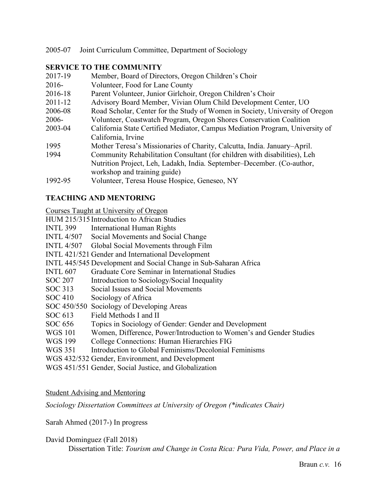### 2005-07 Joint Curriculum Committee, Department of Sociology

## **SERVICE TO THE COMMUNITY**

| Member, Board of Directors, Oregon Children's Choir                          |
|------------------------------------------------------------------------------|
| Volunteer, Food for Lane County                                              |
| Parent Volunteer, Junior Girlchoir, Oregon Children's Choir                  |
| Advisory Board Member, Vivian Olum Child Development Center, UO              |
| Road Scholar, Center for the Study of Women in Society, University of Oregon |
| Volunteer, Coastwatch Program, Oregon Shores Conservation Coalition          |
| California State Certified Mediator, Campus Mediation Program, University of |
| California, Irvine                                                           |
| Mother Teresa's Missionaries of Charity, Calcutta, India. January–April.     |
| Community Rehabilitation Consultant (for children with disabilities), Leh    |
| Nutrition Project, Leh, Ladakh, India. September–December. (Co-author,       |
| workshop and training guide)                                                 |
| Volunteer, Teresa House Hospice, Geneseo, NY                                 |
|                                                                              |

# **TEACHING AND MENTORING**

Courses Taught at University of Oregon

HUM 215/315 Introduction to African Studies

- INTL 399 International Human Rights
- INTL 4/507 Social Movements and Social Change
- INTL 4/507 Global Social Movements through Film
- INTL 421/521 Gender and International Development
- INTL 445/545 Development and Social Change in Sub-Saharan Africa
- INTL 607 Graduate Core Seminar in International Studies
- SOC 207 Introduction to Sociology/Social Inequality
- SOC 313 Social Issues and Social Movements
- SOC 410 Sociology of Africa
- SOC 450/550 Sociology of Developing Areas
- SOC 613 Field Methods I and II
- SOC 656 Topics in Sociology of Gender: Gender and Development
- WGS 101 Women, Difference, Power/Introduction to Women's and Gender Studies
- WGS 199 College Connections: Human Hierarchies FIG
- WGS 351 Introduction to Global Feminisms/Decolonial Feminisms
- WGS 432/532 Gender, Environment, and Development
- WGS 451/551 Gender, Social Justice, and Globalization

### Student Advising and Mentoring

*Sociology Dissertation Committees at University of Oregon (\*indicates Chair)*

Sarah Ahmed (2017-) In progress

#### David Dominguez (Fall 2018)

Dissertation Title: *Tourism and Change in Costa Rica: Pura Vida, Power, and Place in a*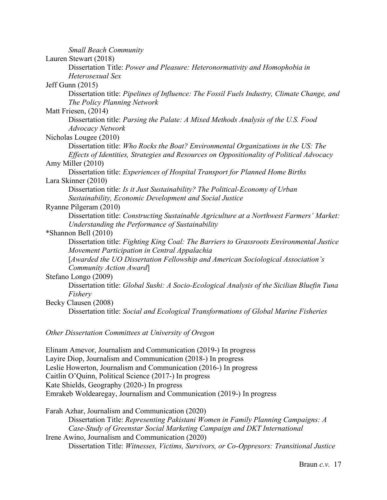| <b>Small Beach Community</b>                                                                                                                                                   |
|--------------------------------------------------------------------------------------------------------------------------------------------------------------------------------|
| Lauren Stewart (2018)                                                                                                                                                          |
| Dissertation Title: Power and Pleasure: Heteronormativity and Homophobia in                                                                                                    |
| Heterosexual Sex                                                                                                                                                               |
| <b>Jeff Gunn (2015)</b>                                                                                                                                                        |
| Dissertation title: Pipelines of Influence: The Fossil Fuels Industry, Climate Change, and<br>The Policy Planning Network                                                      |
| Matt Friesen, (2014)                                                                                                                                                           |
| Dissertation title: Parsing the Palate: A Mixed Methods Analysis of the U.S. Food                                                                                              |
| <b>Advocacy Network</b>                                                                                                                                                        |
| Nicholas Lougee (2010)                                                                                                                                                         |
| Dissertation title: Who Rocks the Boat? Environmental Organizations in the US: The<br>Effects of Identities, Strategies and Resources on Oppositionality of Political Advocacy |
| Amy Miller (2010)                                                                                                                                                              |
| Dissertation title: Experiences of Hospital Transport for Planned Home Births                                                                                                  |
| Lara Skinner (2010)                                                                                                                                                            |
| Dissertation title: Is it Just Sustainability? The Political-Economy of Urban<br>Sustainability, Economic Development and Social Justice                                       |
| Ryanne Pilgeram (2010)                                                                                                                                                         |
| Dissertation title: Constructing Sustainable Agriculture at a Northwest Farmers' Market:<br>Understanding the Performance of Sustainability                                    |
| *Shannon Bell (2010)                                                                                                                                                           |
| Dissertation title: Fighting King Coal: The Barriers to Grassroots Environmental Justice<br>Movement Participation in Central Appalachia                                       |
| [Awarded the UO Dissertation Fellowship and American Sociological Association's<br>Community Action Award                                                                      |
| Stefano Longo (2009)                                                                                                                                                           |
| Dissertation title: Global Sushi: A Socio-Ecological Analysis of the Sicilian Bluefin Tuna<br>Fishery                                                                          |
| Becky Clausen (2008)                                                                                                                                                           |
| Dissertation title: Social and Ecological Transformations of Global Marine Fisheries                                                                                           |
|                                                                                                                                                                                |

*Other Dissertation Committees at University of Oregon*

Elinam Amevor, Journalism and Communication (2019-) In progress Layire Diop, Journalism and Communication (2018-) In progress Leslie Howerton, Journalism and Communication (2016-) In progress Caitlin O'Quinn, Political Science (2017-) In progress Kate Shields, Geography (2020-) In progress Emrakeb Woldearegay, Journalism and Communication (2019-) In progress

Farah Azhar, Journalism and Communication (2020) Dissertation Title: *Representing Pakistani Women in Family Planning Campaigns: A Case-Study of Greenstar Social Marketing Campaign and DKT International* Irene Awino, Journalism and Communication (2020) Dissertation Title: *Witnesses, Victims, Survivors, or Co-Oppresors: Transitional Justice*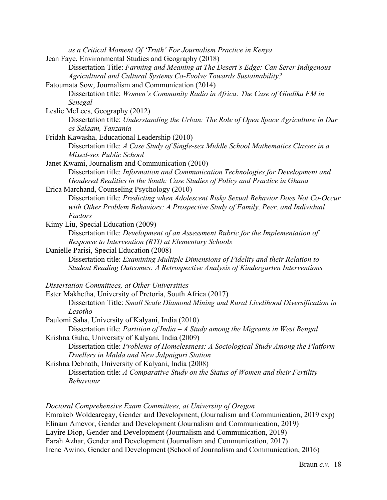| as a Critical Moment Of 'Truth' For Journalism Practice in Kenya                                                                                                                                                   |
|--------------------------------------------------------------------------------------------------------------------------------------------------------------------------------------------------------------------|
| Jean Faye, Environmental Studies and Geography (2018)<br>Dissertation Title: Farming and Meaning at The Desert's Edge: Can Serer Indigenous<br>Agricultural and Cultural Systems Co-Evolve Towards Sustainability? |
| Fatoumata Sow, Journalism and Communication (2014)                                                                                                                                                                 |
| Dissertation title: Women's Community Radio in Africa: The Case of Gindiku FM in                                                                                                                                   |
| Senegal                                                                                                                                                                                                            |
| Leslie McLees, Geography (2012)                                                                                                                                                                                    |
| Dissertation title: Understanding the Urban: The Role of Open Space Agriculture in Dar<br>es Salaam, Tanzania                                                                                                      |
| Fridah Kawasha, Educational Leadership (2010)                                                                                                                                                                      |
| Dissertation title: A Case Study of Single-sex Middle School Mathematics Classes in a<br>Mixed-sex Public School                                                                                                   |
| Janet Kwami, Journalism and Communication (2010)                                                                                                                                                                   |
| Dissertation title: Information and Communication Technologies for Development and<br>Gendered Realities in the South: Case Studies of Policy and Practice in Ghana                                                |
| Erica Marchand, Counseling Psychology (2010)                                                                                                                                                                       |
| Dissertation title: Predicting when Adolescent Risky Sexual Behavior Does Not Co-Occur<br>with Other Problem Behaviors: A Prospective Study of Family, Peer, and Individual<br>Factors                             |
| Kimy Liu, Special Education (2009)                                                                                                                                                                                 |
| Dissertation title: Development of an Assessment Rubric for the Implementation of                                                                                                                                  |
| Response to Intervention (RTI) at Elementary Schools                                                                                                                                                               |
| Danielle Parisi, Special Education (2008)                                                                                                                                                                          |
| Dissertation title: Examining Multiple Dimensions of Fidelity and their Relation to                                                                                                                                |
| Student Reading Outcomes: A Retrospective Analysis of Kindergarten Interventions                                                                                                                                   |
| Dissertation Committees, at Other Universities                                                                                                                                                                     |
| Ester Makhetha, University of Pretoria, South Africa (2017)                                                                                                                                                        |
| Dissertation Title: Small Scale Diamond Mining and Rural Livelihood Diversification in<br>Lesotho                                                                                                                  |
| Paulomi Saha, University of Kalyani, India (2010)                                                                                                                                                                  |
| Dissertation title: Partition of India $-A$ Study among the Migrants in West Bengal                                                                                                                                |
| Krishna Guha, University of Kalyani, India (2009)                                                                                                                                                                  |
| Dissertation title: Problems of Homelessness: A Sociological Study Among the Platform<br>Dwellers in Malda and New Jalpaiguri Station                                                                              |
| Krishna Debnath, University of Kalyani, India (2008)                                                                                                                                                               |
| Dissertation title: A Comparative Study on the Status of Women and their Fertility<br><b>Behaviour</b>                                                                                                             |
|                                                                                                                                                                                                                    |

*Doctoral Comprehensive Exam Committees, at University of Oregon* Emrakeb Woldearegay, Gender and Development, (Journalism and Communication, 2019 exp) Elinam Amevor, Gender and Development (Journalism and Communication, 2019) Layire Diop, Gender and Development (Journalism and Communication, 2019) Farah Azhar, Gender and Development (Journalism and Communication, 2017) Irene Awino, Gender and Development (School of Journalism and Communication, 2016)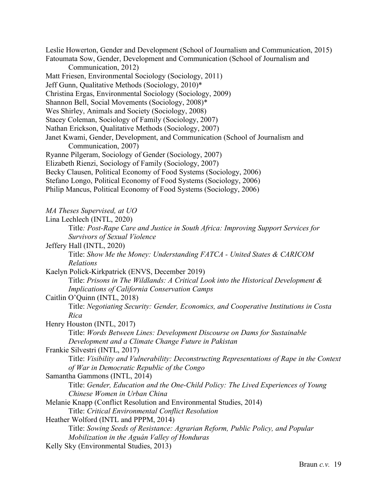Leslie Howerton, Gender and Development (School of Journalism and Communication, 2015) Fatoumata Sow, Gender, Development and Communication (School of Journalism and Communication, 2012) Matt Friesen, Environmental Sociology (Sociology, 2011) Jeff Gunn, Qualitative Methods (Sociology, 2010)\* Christina Ergas, Environmental Sociology (Sociology, 2009) Shannon Bell, Social Movements (Sociology, 2008)\* Wes Shirley, Animals and Society (Sociology, 2008) Stacey Coleman, Sociology of Family (Sociology, 2007) Nathan Erickson, Qualitative Methods (Sociology, 2007) Janet Kwami, Gender, Development, and Communication (School of Journalism and Communication, 2007) Ryanne Pilgeram, Sociology of Gender (Sociology, 2007) Elizabeth Rienzi, Sociology of Family (Sociology, 2007) Becky Clausen, Political Economy of Food Systems (Sociology, 2006) Stefano Longo, Political Economy of Food Systems (Sociology, 2006) Philip Mancus, Political Economy of Food Systems (Sociology, 2006) *MA Theses Supervised, at UO* Lina Lechlech (INTL, 2020) Title*: Post-Rape Care and Justice in South Africa: Improving Support Services for Survivors of Sexual Violence* Jeffery Hall (INTL, 2020) Title: *Show Me the Money: Understanding FATCA - United States & CARICOM Relations* Kaelyn Polick-Kirkpatrick (ENVS, December 2019) Title: *Prisons in The Wildlands: A Critical Look into the Historical Development & Implications of California Conservation Camps* Caitlin O'Quinn (INTL, 2018) Title: *Negotiating Security: Gender, Economics, and Cooperative Institutions in Costa Rica* Henry Houston (INTL, 2017) Title: *Words Between Lines: Development Discourse on Dams for Sustainable Development and a Climate Change Future in Pakistan* Frankie Silvestri (INTL, 2017) Title: *Visibility and Vulnerability: Deconstructing Representations of Rape in the Context of War in Democratic Republic of the Congo* Samantha Gammons (INTL, 2014) Title: *Gender, Education and the One-Child Policy: The Lived Experiences of Young Chinese Women in Urban China* Melanie Knapp (Conflict Resolution and Environmental Studies, 2014) Title: *Critical Environmental Conflict Resolution* Heather Wolford (INTL and PPPM, 2014) Title: *Sowing Seeds of Resistance: Agrarian Reform, Public Policy, and Popular Mobilization in the Aguán Valley of Honduras* Kelly Sky (Environmental Studies, 2013)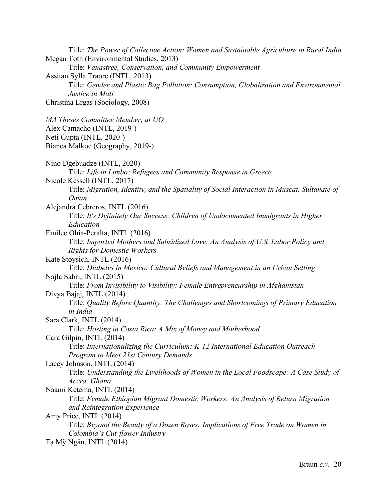Title: *The Power of Collective Action: Women and Sustainable Agriculture in Rural India* Megan Toth (Environmental Studies, 2013) Title: *Vanastree, Conservation, and Community Empowerment* Assitan Sylla Traore (INTL, 2013) Title: *Gender and Plastic Bag Pollution: Consumption, Globalization and Environmental Justice in Mali* Christina Ergas (Sociology, 2008) *MA Theses Committee Member, at UO* Alex Camacho (INTL, 2019-) Neti Gupta (INTL, 2020-) Bianca Malkoc (Geography, 2019-) Nino Dgebuadze (INTL, 2020) Title: *Life in Limbo: Refugees and Community Response in Greece* Nicole Kessell (INTL, 2017) Title: *Migration, Identity, and the Spatiality of Social Interaction in Muscat, Sultanate of Oman* Alejandra Cebreros, INTL (2016) Title: *It's Definitely Our Success: Children of Undocumented Immigrants in Higher Education* Emilee Ohia-Peralta, INTL (2016) Title: *Imported Mothers and Subsidized Love: An Analysis of U.S. Labor Policy and Rights for Domestic Workers* Kate Stoysich, INTL (2016) Title: *Diabetes in Mexico: Cultural Beliefs and Management in an Urban Setting* Najla Sabri, INTL (2015) Title: *From Invisibility to Visibility: Female Entrepreneurship in Afghanistan* Divya Bajaj, INTL (2014) Title: *Quality Before Quantity: The Challenges and Shortcomings of Primary Education in India* Sara Clark, INTL (2014) Title: *Hosting in Costa Rica: A Mix of Money and Motherhood* Cara Gilpin, INTL (2014) Title: *Internationalizing the Curriculum: K-12 International Education Outreach Program to Meet 21st Century Demands* Lacey Johnson, INTL (2014) Title: *Understanding the Livelihoods of Women in the Local Foodscape: A Case Study of Accra, Ghana* Naami Ketema, INTL (2014) Title: *Female Ethiopian Migrant Domestic Workers: An Analysis of Return Migration and Reintegration Experience* Amy Price, INTL (2014) Title: *Beyond the Beauty of a Dozen Roses: Implications of Free Trade on Women in Colombia's Cut-flower Industry* Tạ Mỹ Ngân, INTL (2014)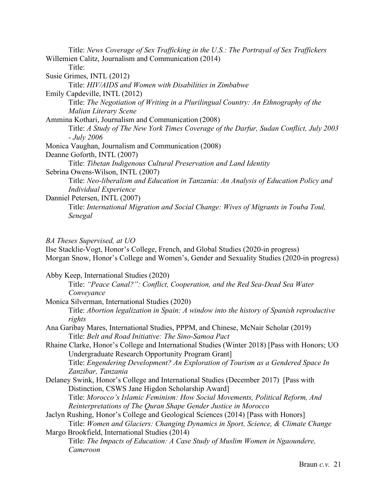Title: *News Coverage of Sex Trafficking in the U.S.: The Portrayal of Sex Traffickers* Willemien Calitz, Journalism and Communication (2014) Title: Susie Grimes, INTL (2012) Title: *HIV/AIDS and Women with Disabilities in Zimbabwe* Emily Capdeville, INTL (2012) Title: *The Negotiation of Writing in a Plurilingual Country: An Ethnography of the Malian Literary Scene* Ammina Kothari, Journalism and Communication (2008) Title: *A Study of The New York Times Coverage of the Darfur, Sudan Conflict, July 2003 - July 2006* Monica Vaughan, Journalism and Communication (2008) Deanne Goforth, INTL (2007) Title: *Tibetan Indigenous Cultural Preservation and Land Identity* Sebrina Owens-Wilson, INTL (2007) Title: *Neo-liberalism and Education in Tanzania: An Analysis of Education Policy and Individual Experience* Danniel Petersen, INTL (2007) Title: *International Migration and Social Change: Wives of Migrants in Touba Toul, Senegal*

*BA Theses Supervised, at UO*

Ilse Stacklie-Vogt, Honor's College, French, and Global Studies (2020-in progress) Morgan Snow, Honor's College and Women's, Gender and Sexuality Studies (2020-in progress)

Abby Keep, International Studies (2020)

- Title: *"Peace Canal?": Conflict, Cooperation, and the Red Sea-Dead Sea Water Conveyance*
- Monica Silverman, International Studies (2020) Title: *Abortion legalization in Spain: A window into the history of Spanish reproductive rights*
- Ana Garibay Mares, International Studies, PPPM, and Chinese, McNair Scholar (2019) Title: *Belt and Road Initiative: The Sino-Samoa Pact*
- Rhaine Clarke, Honor's College and International Studies (Winter 2018) [Pass with Honors; UO Undergraduate Research Opportunity Program Grant] Title: *Engendering Development? An Exploration of Tourism as a Gendered Space In Zanzibar, Tanzania*
- Delaney Swink, Honor's College and International Studies (December 2017) [Pass with Distinction, CSWS Jane Higdon Scholarship Award] Title: *Morocco's Islamic Feminism: How Social Movements, Political Reform, And*
- *Reinterpretations of The Quran Shape Gender Justice in Morocco* Jaclyn Rushing, Honor's College and Geological Sciences (2014) [Pass with Honors] Title: *Women and Glaciers: Changing Dynamics in Sport, Science, & Climate Change*

Margo Brookfield, International Studies (2014) Title: *The Impacts of Education: A Case Study of Muslim Women in Ngaoundere, Cameroon*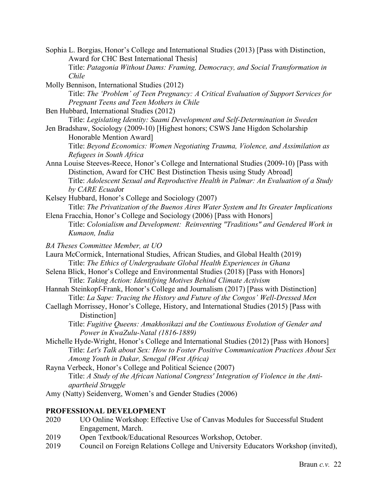- Sophia L. Borgias, Honor's College and International Studies (2013) [Pass with Distinction, Award for CHC Best International Thesis] Title: *Patagonia Without Dams: Framing, Democracy, and Social Transformation in Chile*
- Molly Bennison, International Studies (2012) Title: *The 'Problem' of Teen Pregnancy: A Critical Evaluation of Support Services for Pregnant Teens and Teen Mothers in Chile*
- Ben Hubbard, International Studies (2012)

Title: *Legislating Identity: Saami Development and Self-Determination in Sweden*

Jen Bradshaw, Sociology (2009-10) [Highest honors; CSWS Jane Higdon Scholarship Honorable Mention Award]

Title: *Beyond Economics: Women Negotiating Trauma, Violence, and Assimilation as Refugees in South Africa* 

- Anna Louise Steeves-Reece, Honor's College and International Studies (2009-10) [Pass with Distinction, Award for CHC Best Distinction Thesis using Study Abroad] Title: *Adolescent Sexual and Reproductive Health in Palmar: An Evaluation of a Study by CARE Ecuad*or
- Kelsey Hubbard, Honor's College and Sociology (2007) Title: *The Privatization of the Buenos Aires Water System and Its Greater Implications*
- Elena Fracchia, Honor's College and Sociology (2006) [Pass with Honors] Title: *Colonialism and Development: Reinventing "Traditions" and Gendered Work in Kumaon, India*
- *BA Theses Committee Member, at UO*
- Laura McCormick, International Studies, African Studies, and Global Health (2019) Title: *The Ethics of Undergraduate Global Health Experiences in Ghana*
- Selena Blick, Honor's College and Environmental Studies (2018) [Pass with Honors] Title: *Taking Action: Identifying Motives Behind Climate Activism*
- Hannah Steinkopf-Frank, Honor's College and Journalism (2017) [Pass with Distinction] Title: *La Sape: Tracing the History and Future of the Congos' Well-Dressed Men*
- Caellagh Morrissey, Honor's College, History, and International Studies (2015) [Pass with Distinction]
	- Title: *Fugitive Queens: Amakhosikazi and the Continuous Evolution of Gender and Power in KwaZulu-Natal (1816-1889)*
- Michelle Hyde-Wright, Honor's College and International Studies (2012) [Pass with Honors] Title: *Let's Talk about Sex: How to Foster Positive Communication Practices About Sex Among Youth in Dakar, Senegal (West Africa)*

Rayna Verbeck, Honor's College and Political Science (2007) Title: *A Study of the African National Congress' Integration of Violence in the Antiapartheid Struggle*

Amy (Natty) Seidenverg, Women's and Gender Studies (2006)

### **PROFESSIONAL DEVELOPMENT**

- 2020 UO Online Workshop: Effective Use of Canvas Modules for Successful Student Engagement, March.
- 2019 Open Textbook/Educational Resources Workshop, October.
- 2019 Council on Foreign Relations College and University Educators Workshop (invited),